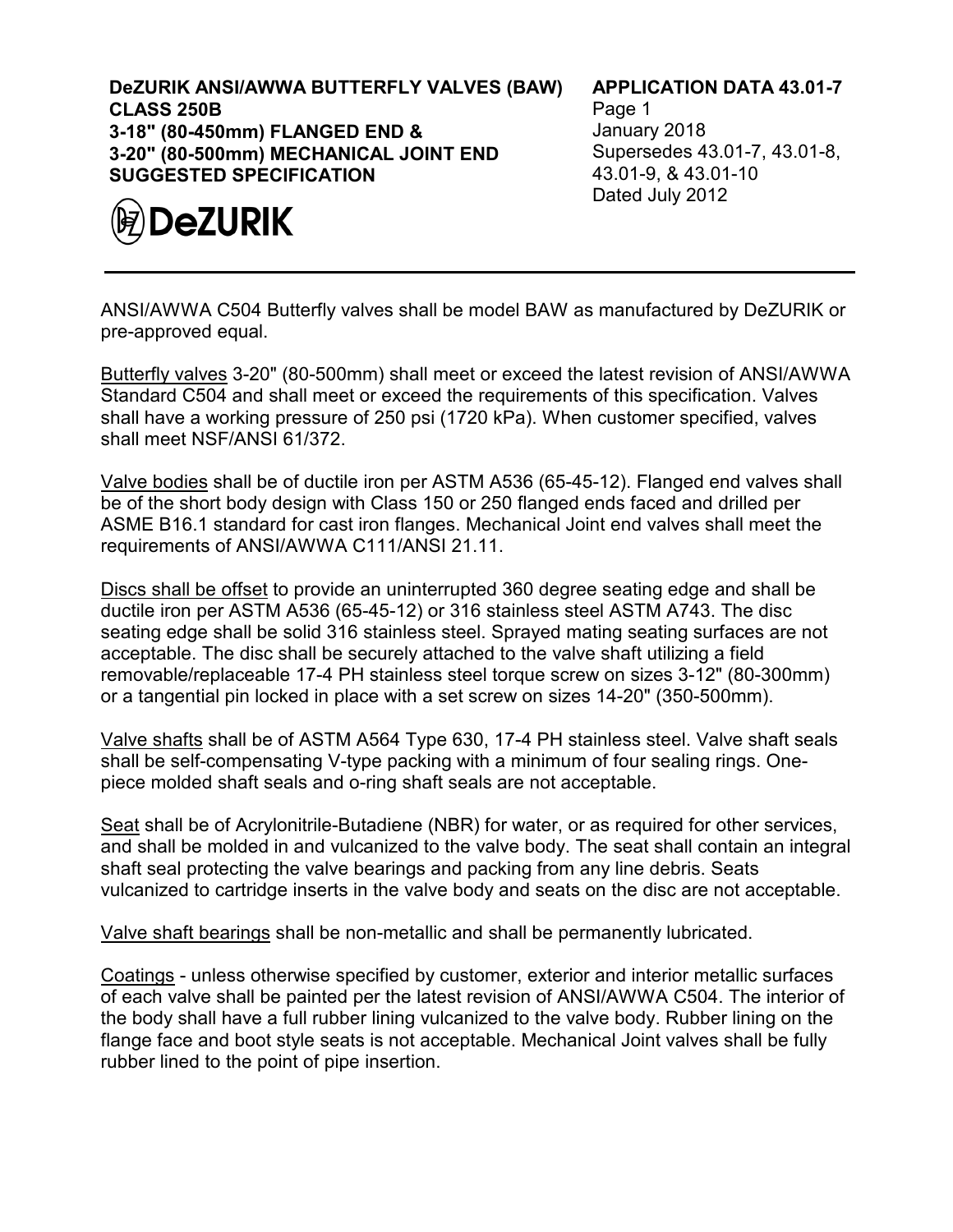**DeZURIK ANSI/AWWA BUTTERFLY VALVES (BAW) CLASS 250B 3-18" (80-450mm) FLANGED END & 3-20" (80-500mm) MECHANICAL JOINT END SUGGESTED SPECIFICATION**



## **APPLICATION DATA 43.01-7**

Page 1 January 2018 Supersedes 43.01-7, 43.01-8, 43.01-9, & 43.01-10 Dated July 2012

ANSI/AWWA C504 Butterfly valves shall be model BAW as manufactured by DeZURIK or pre-approved equal.

Butterfly valves 3-20" (80-500mm) shall meet or exceed the latest revision of ANSI/AWWA Standard C504 and shall meet or exceed the requirements of this specification. Valves shall have a working pressure of 250 psi (1720 kPa). When customer specified, valves shall meet NSF/ANSI 61/372.

Valve bodies shall be of ductile iron per ASTM A536 (65-45-12). Flanged end valves shall be of the short body design with Class 150 or 250 flanged ends faced and drilled per ASME B16.1 standard for cast iron flanges. Mechanical Joint end valves shall meet the requirements of ANSI/AWWA C111/ANSI 21.11.

Discs shall be offset to provide an uninterrupted 360 degree seating edge and shall be ductile iron per ASTM A536 (65-45-12) or 316 stainless steel ASTM A743. The disc seating edge shall be solid 316 stainless steel. Sprayed mating seating surfaces are not acceptable. The disc shall be securely attached to the valve shaft utilizing a field removable/replaceable 17-4 PH stainless steel torque screw on sizes 3-12" (80-300mm) or a tangential pin locked in place with a set screw on sizes 14-20" (350-500mm).

Valve shafts shall be of ASTM A564 Type 630, 17-4 PH stainless steel. Valve shaft seals shall be self-compensating V-type packing with a minimum of four sealing rings. Onepiece molded shaft seals and o-ring shaft seals are not acceptable.

Seat shall be of Acrylonitrile-Butadiene (NBR) for water, or as required for other services, and shall be molded in and vulcanized to the valve body. The seat shall contain an integral shaft seal protecting the valve bearings and packing from any line debris. Seats vulcanized to cartridge inserts in the valve body and seats on the disc are not acceptable.

Valve shaft bearings shall be non-metallic and shall be permanently lubricated.

Coatings - unless otherwise specified by customer, exterior and interior metallic surfaces of each valve shall be painted per the latest revision of ANSI/AWWA C504. The interior of the body shall have a full rubber lining vulcanized to the valve body. Rubber lining on the flange face and boot style seats is not acceptable. Mechanical Joint valves shall be fully rubber lined to the point of pipe insertion.